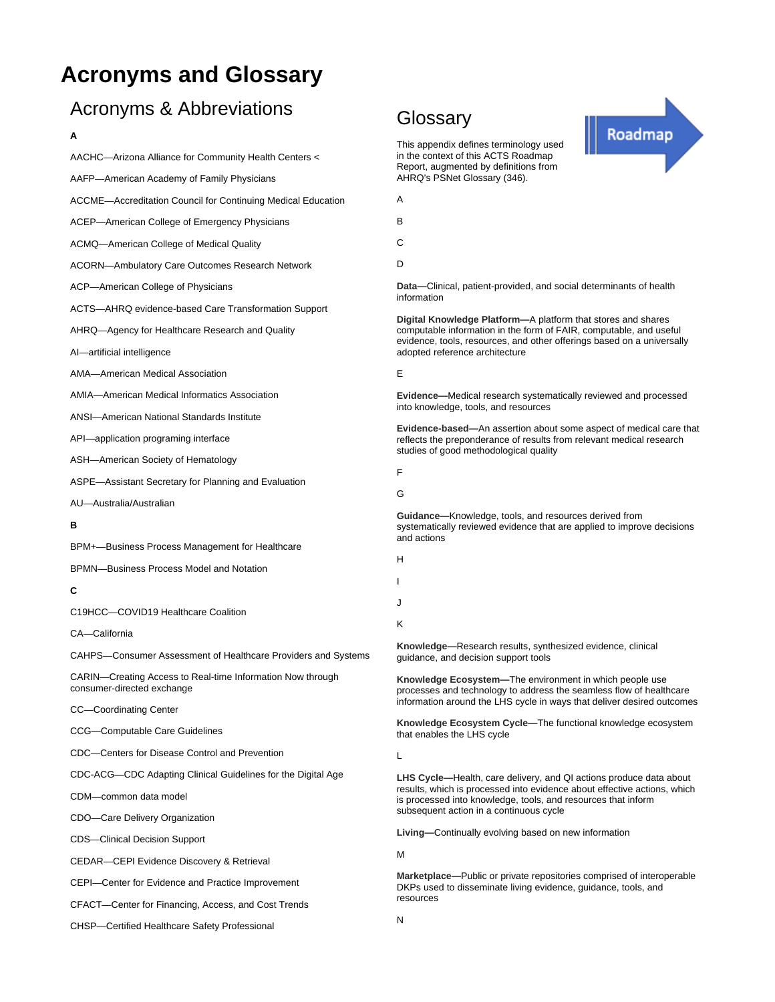# **Acronyms and Glossary**

# Acronyms & Abbreviations

## **A**

| AACHC-Arizona Alliance for Community Health Centers <                                    |
|------------------------------------------------------------------------------------------|
| AAFP-American Academy of Family Physicians                                               |
| ACCME-Accreditation Council for Continuing Medical Education                             |
| ACEP-American College of Emergency Physicians                                            |
| ACMQ—American College of Medical Quality                                                 |
| <b>ACORN—Ambulatory Care Outcomes Research Network</b>                                   |
| ACP-American College of Physicians                                                       |
| ACTS—AHRQ evidence-based Care Transformation Support                                     |
| AHRQ—Agency for Healthcare Research and Quality                                          |
| Al-artificial intelligence                                                               |
| AMA-American Medical Association                                                         |
| AMIA-American Medical Informatics Association                                            |
| ANSI-American National Standards Institute                                               |
| API-application programing interface                                                     |
| ASH-American Society of Hematology                                                       |
| ASPE-Assistant Secretary for Planning and Evaluation                                     |
| AU-Australia/Australian                                                                  |
| в                                                                                        |
| BPM+-Business Process Management for Healthcare                                          |
| <b>BPMN-Business Process Model and Notation</b>                                          |
| С                                                                                        |
| C19HCC-COVID19 Healthcare Coalition                                                      |
| CA-California                                                                            |
| CAHPS—Consumer Assessment of Healthcare Providers and Systems                            |
| CARIN-Creating Access to Real-time Information Now through<br>consumer-directed exchange |
| CC-Coordinating Center                                                                   |
| <b>CCG-Computable Care Guidelines</b>                                                    |
| CDC-Centers for Disease Control and Prevention                                           |
| CDC-ACG-CDC Adapting Clinical Guidelines for the Digital Age                             |
| CDM-common data model                                                                    |
| CDO-Care Delivery Organization                                                           |
| <b>CDS--Clinical Decision Support</b>                                                    |
| CEDAR-CEPI Evidence Discovery & Retrieval                                                |
| CEPI-Center for Evidence and Practice Improvement                                        |
| CFACT—Center for Financing, Access, and Cost Trends                                      |
| CHSP-Certified Healthcare Safety Professional                                            |

# **Glossary**

This appendix defines terminology used in the context of this ACTS Roadmap Report, augmented by definitions from AHRQ's PSNet Glossary (346).

A

B

C

D

**Data—**Clinical, patient-provided, and social determinants of health information

Roadmap

**Digital Knowledge Platform—**A platform that stores and shares computable information in the form of FAIR, computable, and useful evidence, tools, resources, and other offerings based on a universally adopted reference architecture

E

**Evidence—**Medical research systematically reviewed and processed into knowledge, tools, and resources

**Evidence-based—**An assertion about some aspect of medical care that reflects the preponderance of results from relevant medical research studies of good methodological quality

F

G

**Guidance—**Knowledge, tools, and resources derived from systematically reviewed evidence that are applied to improve decisions and actions

H I

J

K

**Knowledge—**Research results, synthesized evidence, clinical guidance, and decision support tools

**Knowledge Ecosystem—**The environment in which people use processes and technology to address the seamless flow of healthcare information around the LHS cycle in ways that deliver desired outcomes

**Knowledge Ecosystem Cycle—**The functional knowledge ecosystem that enables the LHS cycle

L

**LHS Cycle—**Health, care delivery, and QI actions produce data about results, which is processed into evidence about effective actions, which is processed into knowledge, tools, and resources that inform subsequent action in a continuous cycle

**Living—**Continually evolving based on new information

M

**Marketplace—**Public or private repositories comprised of interoperable DKPs used to disseminate living evidence, guidance, tools, and resources

N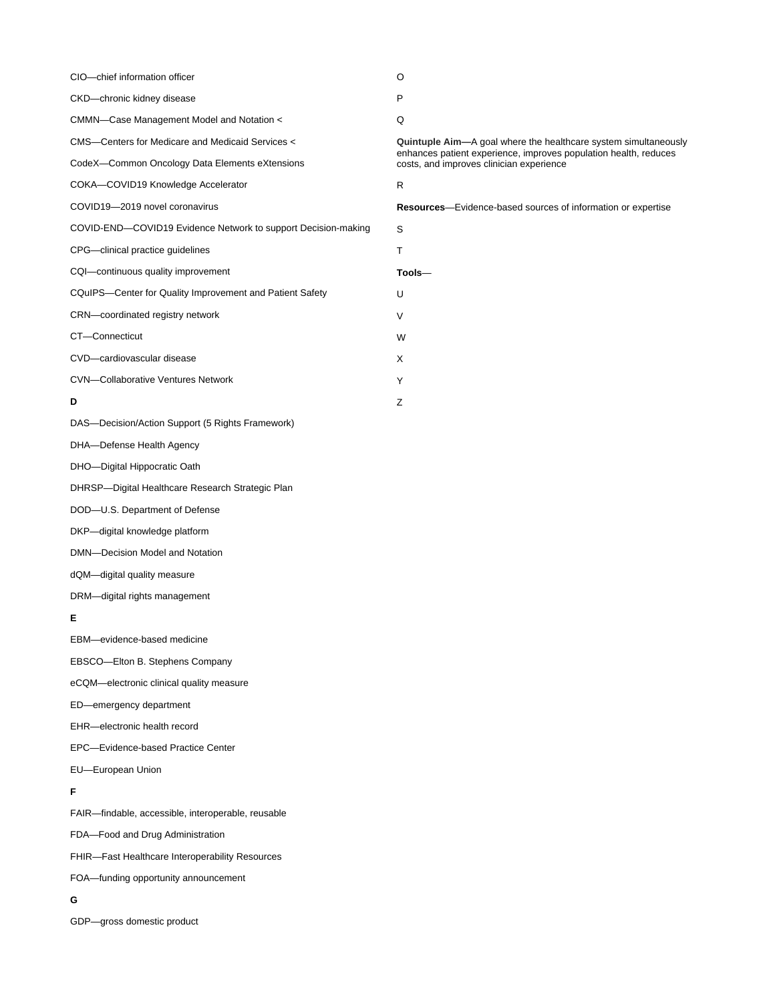| CIO-chief information officer                                 | O                                                                                                                                                                               |
|---------------------------------------------------------------|---------------------------------------------------------------------------------------------------------------------------------------------------------------------------------|
| CKD-chronic kidney disease                                    | P                                                                                                                                                                               |
| CMMN-Case Management Model and Notation <                     | Q                                                                                                                                                                               |
| CMS--Centers for Medicare and Medicaid Services <             | Quintuple Aim-A goal where the healthcare system simultaneously<br>enhances patient experience, improves population health, reduces<br>costs, and improves clinician experience |
| CodeX—Common Oncology Data Elements eXtensions                |                                                                                                                                                                                 |
| COKA-COVID19 Knowledge Accelerator                            | R                                                                                                                                                                               |
| COVID19-2019 novel coronavirus                                | <b>Resources</b> —Evidence-based sources of information or expertise                                                                                                            |
| COVID-END-COVID19 Evidence Network to support Decision-making | S                                                                                                                                                                               |
| CPG--clinical practice guidelines                             | Τ                                                                                                                                                                               |
| CQI-continuous quality improvement                            | $\mathsf{Tools}-$                                                                                                                                                               |
| CQuIPS—Center for Quality Improvement and Patient Safety      | U                                                                                                                                                                               |
| CRN-coordinated registry network                              | V                                                                                                                                                                               |
| CT-Connecticut                                                | W                                                                                                                                                                               |
| CVD-cardiovascular disease                                    | X                                                                                                                                                                               |
| <b>CVN-Collaborative Ventures Network</b>                     | Y                                                                                                                                                                               |
| D                                                             | Ζ                                                                                                                                                                               |
| DAS-Decision/Action Support (5 Rights Framework)              |                                                                                                                                                                                 |
| DHA-Defense Health Agency                                     |                                                                                                                                                                                 |
| DHO-Digital Hippocratic Oath                                  |                                                                                                                                                                                 |
| DHRSP—Digital Healthcare Research Strategic Plan              |                                                                                                                                                                                 |
| DOD-U.S. Department of Defense                                |                                                                                                                                                                                 |
| DKP-digital knowledge platform                                |                                                                                                                                                                                 |
| DMN-Decision Model and Notation                               |                                                                                                                                                                                 |
| dQM-digital quality measure                                   |                                                                                                                                                                                 |
| DRM-digital rights management                                 |                                                                                                                                                                                 |
| E                                                             |                                                                                                                                                                                 |
| EBM-evidence-based medicine                                   |                                                                                                                                                                                 |
| EBSCO-Elton B. Stephens Company                               |                                                                                                                                                                                 |
| eCQM-electronic clinical quality measure                      |                                                                                                                                                                                 |
| ED-emergency department                                       |                                                                                                                                                                                 |
| EHR-electronic health record                                  |                                                                                                                                                                                 |
| EPC-Evidence-based Practice Center                            |                                                                                                                                                                                 |
| EU-European Union                                             |                                                                                                                                                                                 |
| F                                                             |                                                                                                                                                                                 |
| FAIR-findable, accessible, interoperable, reusable            |                                                                                                                                                                                 |
| FDA-Food and Drug Administration                              |                                                                                                                                                                                 |
| FHIR-Fast Healthcare Interoperability Resources               |                                                                                                                                                                                 |
| FOA-funding opportunity announcement                          |                                                                                                                                                                                 |
|                                                               |                                                                                                                                                                                 |

# **G**

GDP—gross domestic product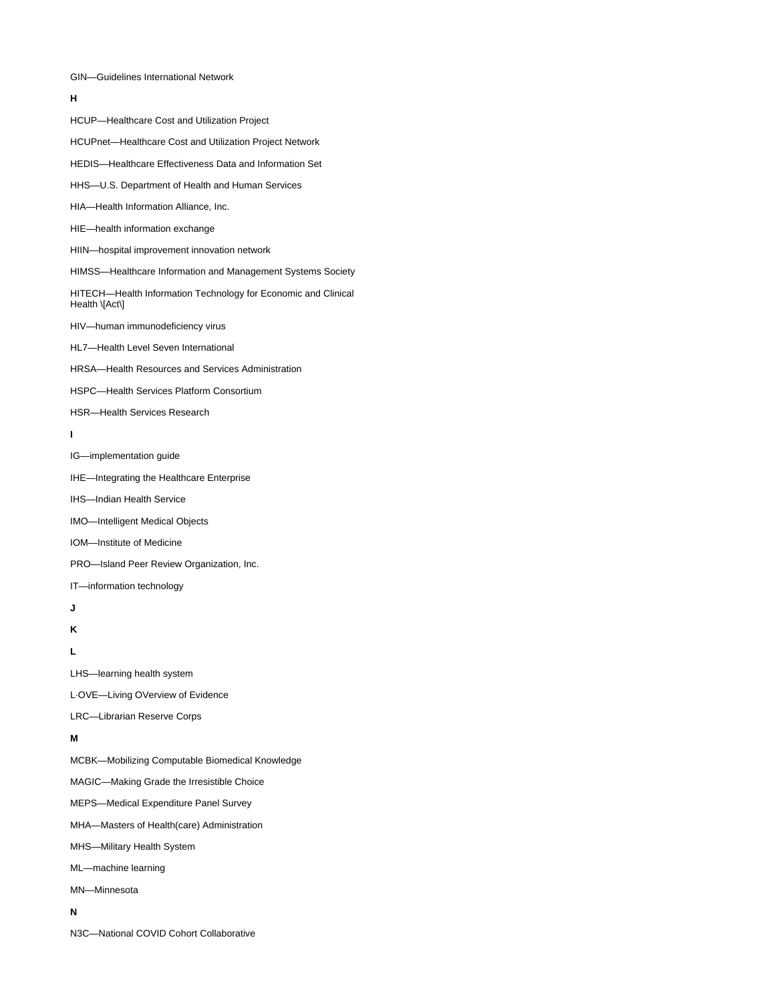### GIN—Guidelines International Network

### **H**

HCUP—Healthcare Cost and Utilization Project

# HCUPnet—Healthcare Cost and Utilization Project Network

#### HEDIS—Healthcare Effectiveness Data and Information Set

- HHS—U.S. Department of Health and Human Services
- HIA—Health Information Alliance, Inc.
- HIE—health information exchange
- HIIN—hospital improvement innovation network
- HIMSS—Healthcare Information and Management Systems Society
- HITECH—Health Information Technology for Economic and Clinical Health \[Act\]
- HIV—human immunodeficiency virus
- HL7—Health Level Seven International
- HRSA—Health Resources and Services Administration
- HSPC—Health Services Platform Consortium
- HSR—Health Services Research
- **I**
- IG—implementation guide
- IHE—Integrating the Healthcare Enterprise
- IHS—Indian Health Service
- IMO—Intelligent Medical Objects
- IOM—Institute of Medicine
- PRO—Island Peer Review Organization, Inc.
- IT—information technology
- **J**

**K**

**L**

LHS—learning health system

L·OVE—Living OVerview of Evidence

LRC—Librarian Reserve Corps

## **M**

MCBK—Mobilizing Computable Biomedical Knowledge MAGIC—Making Grade the Irresistible Choice MEPS—Medical Expenditure Panel Survey MHA—Masters of Health(care) Administration

MHS—Military Health System

ML—machine learning

MN—Minnesota

#### **N**

N3C—National COVID Cohort Collaborative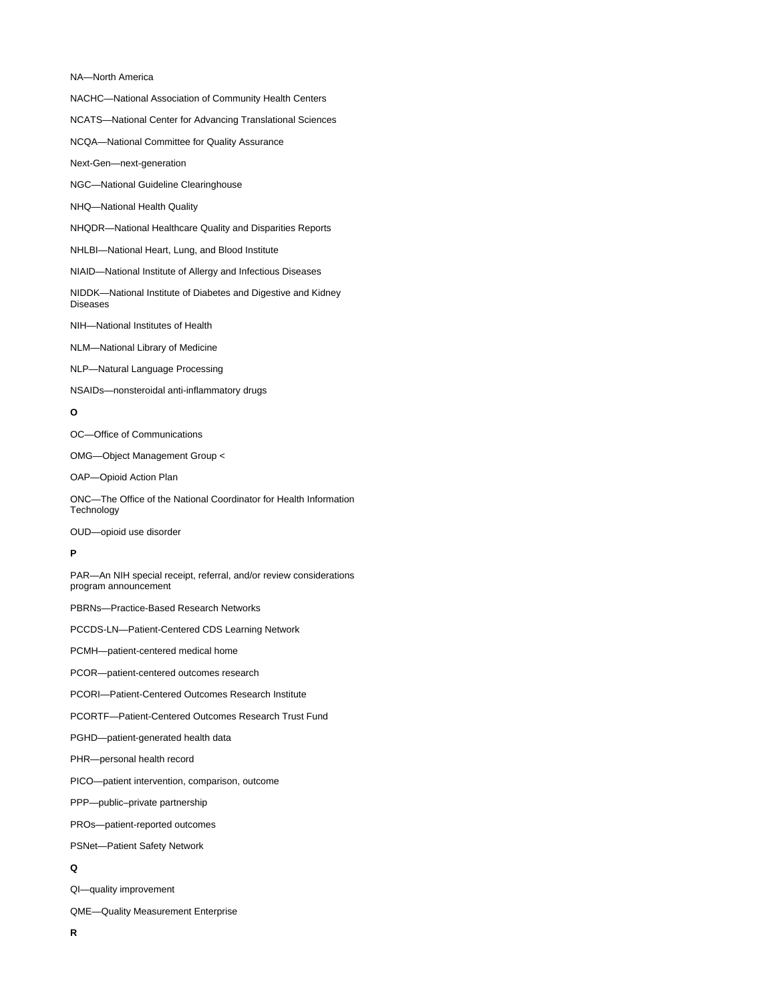#### NA—North America

NACHC—National Association of Community Health Centers

NCATS—National Center for Advancing Translational Sciences

NCQA—National Committee for Quality Assurance

Next-Gen—next-generation

- NGC—National Guideline Clearinghouse
- NHQ—National Health Quality
- NHQDR—National Healthcare Quality and Disparities Reports
- NHLBI—National Heart, Lung, and Blood Institute
- NIAID—National Institute of Allergy and Infectious Diseases

NIDDK—National Institute of Diabetes and Digestive and Kidney Diseases

NIH—National Institutes of Health

NLM—National Library of Medicine

NLP—Natural Language Processing

NSAIDs—nonsteroidal anti-inflammatory drugs

## **O**

OC—Office of Communications

OMG—Object Management Group <

OAP—Opioid Action Plan

ONC—The Office of the National Coordinator for Health Information **Technology** 

OUD—opioid use disorder

### **P**

PAR—An NIH special receipt, referral, and/or review considerations program announcement

PBRNs—Practice-Based Research Networks

PCCDS-LN—Patient-Centered CDS Learning Network

PCMH—patient-centered medical home

PCOR—patient-centered outcomes research

- PCORI—Patient-Centered Outcomes Research Institute
- PCORTF—Patient-Centered Outcomes Research Trust Fund
- PGHD—patient-generated health data
- PHR—personal health record
- PICO—patient intervention, comparison, outcome
- PPP—public–private partnership
- PROs—patient-reported outcomes

PSNet—Patient Safety Network

# **Q**

QI—quality improvement

QME—Quality Measurement Enterprise